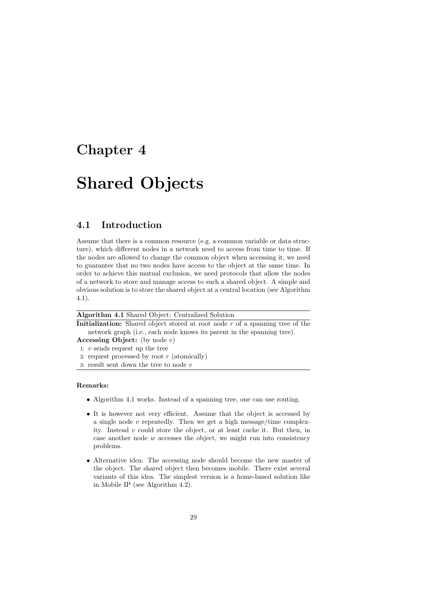### Chapter 4

## Shared Objects

### 4.1 Introduction

Assume that there is a common resource (e.g. a common variable or data structure), which different nodes in a network need to access from time to time. If the nodes are allowed to change the common object when accessing it, we need to guarantee that no two nodes have access to the object at the same time. In order to achieve this mutual exclusion, we need protocols that allow the nodes of a network to store and manage access to such a shared object. A simple and obvious solution is to store the shared object at a central location (see Algorithm 4.1).

Algorithm 4.1 Shared Object: Centralized Solution

Initialization: Shared object stored at root node *r* of a spanning tree of the network graph (i.e., each node knows its parent in the spanning tree).

- Accessing Object: (by node *v*)
- 1: *v* sends request up the tree
- 2: request processed by root *r* (atomically)
- 3: result sent down the tree to node *v*

#### Remarks:

- Algorithm 4.1 works. Instead of a spanning tree, one can use routing.
- It is however not very efficient. Assume that the object is accessed by a single node *v* repeatedly. Then we get a high message/time complexity. Instead *v* could store the object, or at least cache it. But then, in case another node *w* accesses the object, we might run into consistency problems.
- Alternative idea: The accessing node should become the new master of the object. The shared object then becomes mobile. There exist several variants of this idea. The simplest version is a home-based solution like in Mobile IP (see Algorithm 4.2).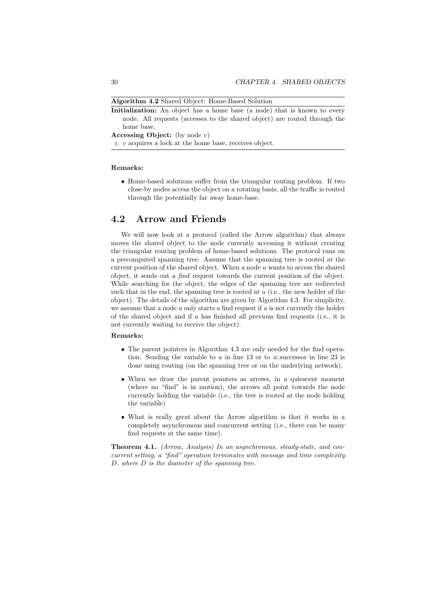#### Algorithm 4.2 Shared Object: Home-Based Solution

Initialization: An object has a home base (a node) that is known to every node. All requests (accesses to the shared object) are routed through the home base. Accessing Object: (by node *v*)

1: *v* acquires a lock at the home base, receives object.

#### Remarks:

• Home-based solutions suffer from the triangular routing problem. If two close-by nodes access the object on a rotating basis, all the traffic is routed through the potentially far away home-base.

#### 4.2 Arrow and Friends

We will now look at a protocol (called the Arrow algorithm) that always moves the shared object to the node currently accessing it without creating the triangular routing problem of home-based solutions. The protocol runs on a precomputed spanning tree. Assume that the spanning tree is rooted at the current position of the shared object. When a node *u* wants to access the shared object, it sends out a *find* request towards the current position of the object. While searching for the object, the edges of the spanning tree are redirected such that in the end, the spanning tree is rooted at *u* (i.e., the new holder of the object). The details of the algorithm are given by Algorithm 4.3. For simplicity, we assume that a node *u* only starts a find request if *u* is not currently the holder of the shared object and if *u* has finished all previous find requests (i.e., it is not currently waiting to receive the object).

#### Remarks:

- The parent pointers in Algorithm 4.3 are only needed for the find operation. Sending the variable to *u* in line 13 or to *w.*successor in line 23 is done using routing (on the spanning tree or on the underlying network).
- When we draw the parent pointers as arrows, in a quiescent moment (where no "find" is in motion), the arrows all point towards the node currently holding the variable (i.e., the tree is rooted at the node holding the variable)
- *•* What is really great about the Arrow algorithm is that it works in a completely asynchronous and concurrent setting (i.e., there can be many find requests at the same time).

Theorem 4.1. *(Arrow, Analysis) In an asynchronous, steady-state, and concurrent setting, a "find" operation terminates with message and time complexity D, where D is the diameter of the spanning tree.*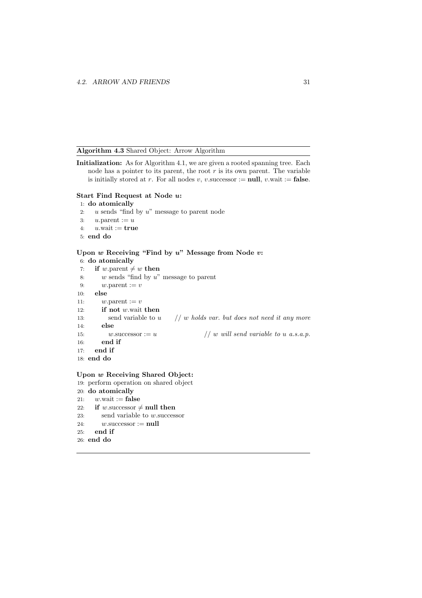Algorithm 4.3 Shared Object: Arrow Algorithm

- Initialization: As for Algorithm 4.1, we are given a rooted spanning tree. Each node has a pointer to its parent, the root  $r$  is its own parent. The variable is initially stored at *r*. For all nodes *v*, *v*.successor := **null**, *v*.wait := **false**.
- Start Find Request at Node *u*:

```
1: do atomically
 2: u sends "find by u" message to parent node
 3: u.\text{parent} := u4: u.wait := true
 5: end do
Upon w Receiving "Find by u" Message from Node v:
 6: do atomically
 7: if w.parent \neq w then<br>8: w sends "find by u"
        w sends "find by u" message to parent
 9: w.\text{parent} := v10: else
11: w.parent := v12: if not w.wait then
13: send variable to u // w holds var. but does not need it any more
14: else
```
- 15:  $w.\text{successor} := u$  //  $w \text{ will send variable to } u \text{ a.s. a.p.}$ 
	- 16: end if 17: end if

```
18: end do
```

```
Upon w Receiving Shared Object:
```
- 19: perform operation on shared object
- 20: do atomically

```
21: w \cdot \text{wait} := \text{false}
```
- 
- 22: **if** *w*.successor  $\neq$  **null then**<br>23: send variable to *w*.succes send variable to *w*.successor
- 24: *w.*successor := null
- 25: end if
- 26: end do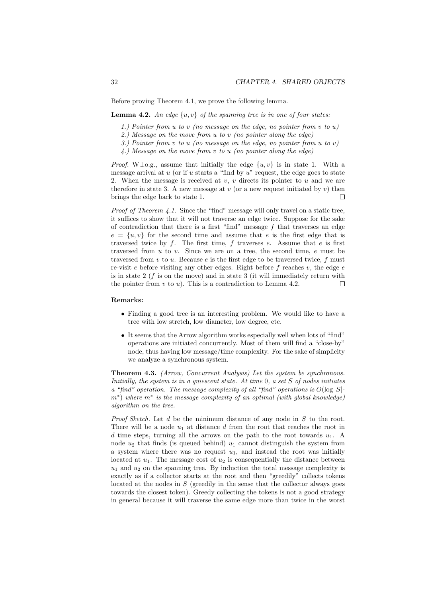Before proving Theorem 4.1, we prove the following lemma.

**Lemma 4.2.** An edge  $\{u, v\}$  of the spanning tree is in one of four states:

- *1.) Pointer from u to v (no message on the edge, no pointer from v to u)*
- *2.) Message on the move from u to v (no pointer along the edge)*
- *3.) Pointer from v to u (no message on the edge, no pointer from u to v)*
- *4.) Message on the move from v to u (no pointer along the edge)*

*Proof.* W.l.o.g., assume that initially the edge  $\{u, v\}$  is in state 1. With a message arrival at *u* (or if *u* starts a "find by *u*" request, the edge goes to state 2. When the message is received at *v*, *v* directs its pointer to *u* and we are therefore in state 3. A new message at  $v$  (or a new request initiated by  $v$ ) then brings the edge back to state 1.  $\Box$ 

*Proof of Theorem 4.1.* Since the "find" message will only travel on a static tree, it suffices to show that it will not traverse an edge twice. Suppose for the sake of contradiction that there is a first "find" message *f* that traverses an edge  $e = \{u, v\}$  for the second time and assume that *e* is the first edge that is traversed twice by  $f$ . The first time,  $f$  traverses  $e$ . Assume that  $e$  is first traversed from *u* to *v*. Since we are on a tree, the second time, *e* must be traversed from *v* to *u*. Because *e* is the first edge to be traversed twice, *f* must re-visit *e* before visiting any other edges. Right before *f* reaches *v*, the edge *e* is in state 2 (*f* is on the move) and in state 3 (it will immediately return with the pointer from *v* to *u*). This is a contradiction to Lemma 4.2.  $\Box$ 

#### Remarks:

- *•* Finding a good tree is an interesting problem. We would like to have a tree with low stretch, low diameter, low degree, etc.
- It seems that the Arrow algorithm works especially well when lots of "find" operations are initiated concurrently. Most of them will find a "close-by" node, thus having low message/time complexity. For the sake of simplicity we analyze a synchronous system.

Theorem 4.3. *(Arrow, Concurrent Analysis) Let the system be synchronous. Initially, the system is in a quiescent state. At time* 0*, a set S of nodes initiates a* "find" operation. The message complexity of all "find" operations is  $O(\log |S| \cdot$ *m*<sup>\*</sup>) where  $m$ <sup>\*</sup> *is the message complexity of an optimal (with global knowledge) algorithm on the tree.*

*Proof Sketch.* Let *d* be the minimum distance of any node in *S* to the root. There will be a node  $u_1$  at distance  $d$  from the root that reaches the root in *d* time steps, turning all the arrows on the path to the root towards *u*1. A node *u*<sup>2</sup> that finds (is queued behind) *u*<sup>1</sup> cannot distinguish the system from a system where there was no request  $u_1$ , and instead the root was initially located at  $u_1$ . The message cost of  $u_2$  is consequentially the distance between *u*<sup>1</sup> and *u*<sup>2</sup> on the spanning tree. By induction the total message complexity is exactly as if a collector starts at the root and then "greedily" collects tokens located at the nodes in *S* (greedily in the sense that the collector always goes towards the closest token). Greedy collecting the tokens is not a good strategy in general because it will traverse the same edge more than twice in the worst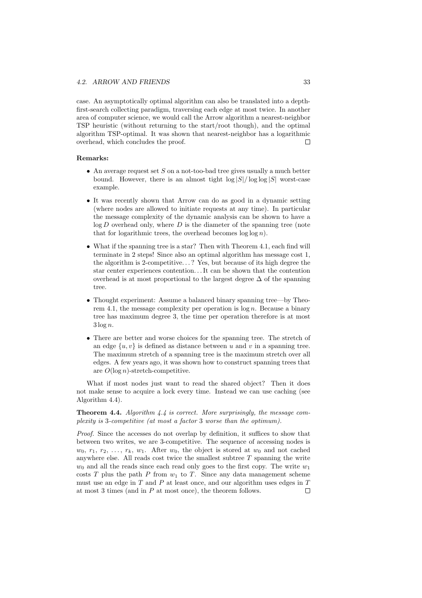case. An asymptotically optimal algorithm can also be translated into a depthfirst-search collecting paradigm, traversing each edge at most twice. In another area of computer science, we would call the Arrow algorithm a nearest-neighbor TSP heuristic (without returning to the start/root though), and the optimal algorithm TSP-optimal. It was shown that nearest-neighbor has a logarithmic overhead, which concludes the proof.  $\Box$ 

#### Remarks:

- *•* An average request set *S* on a not-too-bad tree gives usually a much better bound. However, there is an almost tight  $\log |S| / \log \log |S|$  worst-case example.
- It was recently shown that Arrow can do as good in a dynamic setting (where nodes are allowed to initiate requests at any time). In particular the message complexity of the dynamic analysis can be shown to have a log *D* overhead only, where *D* is the diameter of the spanning tree (note that for logarithmic trees, the overhead becomes log log *n*).
- What if the spanning tree is a star? Then with Theorem 4.1, each find will terminate in 2 steps! Since also an optimal algorithm has message cost 1, the algorithm is 2-competitive. . . ? Yes, but because of its high degree the star center experiences contention. . . It can be shown that the contention overhead is at most proportional to the largest degree  $\Delta$  of the spanning tree.
- Thought experiment: Assume a balanced binary spanning tree—by Theorem 4.1, the message complexity per operation is log *n*. Because a binary tree has maximum degree 3, the time per operation therefore is at most 3 log *n*.
- *•* There are better and worse choices for the spanning tree. The stretch of an edge  $\{u, v\}$  is defined as distance between *u* and *v* in a spanning tree. The maximum stretch of a spanning tree is the maximum stretch over all edges. A few years ago, it was shown how to construct spanning trees that are *O*(log *n*)-stretch-competitive.

What if most nodes just want to read the shared object? Then it does not make sense to acquire a lock every time. Instead we can use caching (see Algorithm 4.4).

Theorem 4.4. *Algorithm 4.4 is correct. More surprisingly, the message complexity is* 3*-competitive (at most a factor* 3 *worse than the optimum).*

*Proof.* Since the accesses do not overlap by definition, it suffices to show that between two writes, we are 3-competitive. The sequence of accessing nodes is  $w_0, r_1, r_2, \ldots, r_k, w_1$ . After  $w_0$ , the object is stored at  $w_0$  and not cached anywhere else. All reads cost twice the smallest subtree *T* spanning the write  $w_0$  and all the reads since each read only goes to the first copy. The write  $w_1$ costs  $T$  plus the path  $P$  from  $w_1$  to  $T$ . Since any data management scheme must use an edge in *T* and *P* at least once, and our algorithm uses edges in *T* at most 3 times (and in *P* at most once), the theorem follows. $\Box$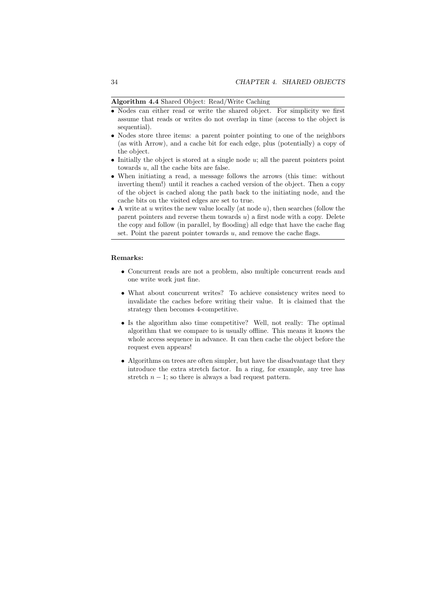#### Algorithm 4.4 Shared Object: Read/Write Caching

- Nodes can either read or write the shared object. For simplicity we first assume that reads or writes do not overlap in time (access to the object is sequential).
- Nodes store three items: a parent pointer pointing to one of the neighbors (as with Arrow), and a cache bit for each edge, plus (potentially) a copy of the object.
- Initially the object is stored at a single node *u*; all the parent pointers point towards *u*, all the cache bits are false.
- When initiating a read, a message follows the arrows (this time: without inverting them!) until it reaches a cached version of the object. Then a copy of the object is cached along the path back to the initiating node, and the cache bits on the visited edges are set to true.
- *•* A write at *u* writes the new value locally (at node *u*), then searches (follow the parent pointers and reverse them towards *u*) a first node with a copy. Delete the copy and follow (in parallel, by flooding) all edge that have the cache flag set. Point the parent pointer towards *u*, and remove the cache flags.

#### Remarks:

- *•* Concurrent reads are not a problem, also multiple concurrent reads and one write work just fine.
- *•* What about concurrent writes? To achieve consistency writes need to invalidate the caches before writing their value. It is claimed that the strategy then becomes 4-competitive.
- *•* Is the algorithm also time competitive? Well, not really: The optimal algorithm that we compare to is usually offline. This means it knows the whole access sequence in advance. It can then cache the object before the request even appears!
- *•* Algorithms on trees are often simpler, but have the disadvantage that they introduce the extra stretch factor. In a ring, for example, any tree has stretch  $n - 1$ ; so there is always a bad request pattern.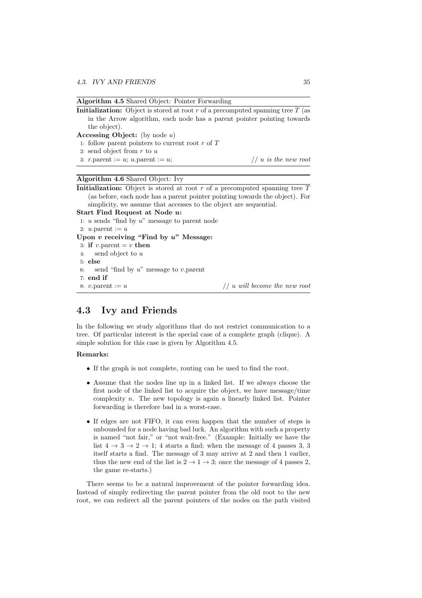#### Algorithm 4.5 Shared Object: Pointer Forwarding

|                                  | <b>Initialization:</b> Object is stored at root r of a precomputed spanning tree T (as |
|----------------------------------|----------------------------------------------------------------------------------------|
|                                  | in the Arrow algorithm, each node has a parent pointer pointing towards                |
| the object).                     |                                                                                        |
| Accessing Object: (by node $u$ ) |                                                                                        |
|                                  |                                                                                        |

- 1: follow parent pointers to current root *r* of *T*
- 2: send object from *r* to *u*
- 3:  $r.\text{parent} := u$ ;  $u.\text{parent} := u$ ;  $\frac{u}{u}$  *is the new root*

#### Algorithm 4.6 Shared Object: Ivy

Initialization: Object is stored at root *r* of a precomputed spanning tree *T* (as before, each node has a parent pointer pointing towards the object). For simplicity, we assume that accesses to the object are sequential. Start Find Request at Node *u*: 1: *u* sends "find by *u*" message to parent node 2:  $u$ .parent :=  $u$ Upon *v* receiving "Find by *u*" Message: 3: if *v*.parent = *v* then 4: send object to *u* 5: else 6: send "find by *u*" message to *v.*parent 7: end if

# 4.3 Ivy and Friends

In the following we study algorithms that do not restrict communication to a tree. Of particular interest is the special case of a complete graph (clique). A simple solution for this case is given by Algorithm 4.5.

8: *v*.parent := *u* // *u will become the new root* 

#### Remarks:

- *•* If the graph is not complete, routing can be used to find the root.
- *•* Assume that the nodes line up in a linked list. If we always choose the first node of the linked list to acquire the object, we have message/time complexity *n*. The new topology is again a linearly linked list. Pointer forwarding is therefore bad in a worst-case.
- *•* If edges are not FIFO, it can even happen that the number of steps is unbounded for a node having bad luck. An algorithm with such a property is named "not fair," or "not wait-free." (Example: Initially we have the list  $4 \rightarrow 3 \rightarrow 2 \rightarrow 1$ ; 4 starts a find; when the message of 4 passes 3, 3 itself starts a find. The message of 3 may arrive at 2 and then 1 earlier, thus the new end of the list is  $2 \rightarrow 1 \rightarrow 3$ ; once the message of 4 passes 2, the game re-starts.)

There seems to be a natural improvement of the pointer forwarding idea. Instead of simply redirecting the parent pointer from the old root to the new root, we can redirect all the parent pointers of the nodes on the path visited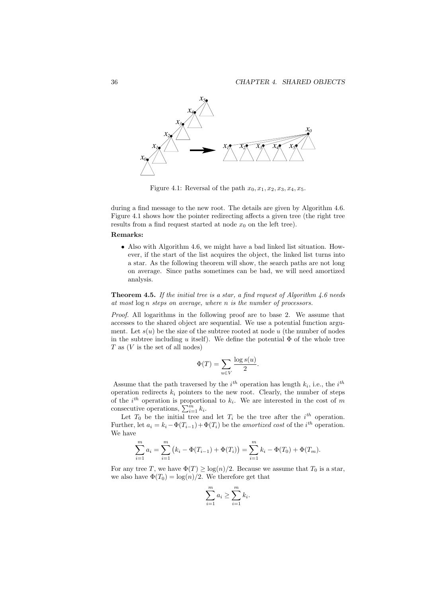

Figure 4.1: Reversal of the path  $x_0, x_1, x_2, x_3, x_4, x_5$ .

during a find message to the new root. The details are given by Algorithm 4.6. Figure 4.1 shows how the pointer redirecting affects a given tree (the right tree results from a find request started at node  $x_0$  on the left tree).

#### Remarks:

*•* Also with Algorithm 4.6, we might have a bad linked list situation. However, if the start of the list acquires the object, the linked list turns into a star. As the following theorem will show, the search paths are not long on average. Since paths sometimes can be bad, we will need amortized analysis.

Theorem 4.5. *If the initial tree is a star, a find request of Algorithm 4.6 needs at most* log *n steps on average, where n is the number of processors.*

*Proof.* All logarithms in the following proof are to base 2. We assume that accesses to the shared object are sequential. We use a potential function argument. Let  $s(u)$  be the size of the subtree rooted at node  $u$  (the number of nodes in the subtree including  $u$  itself). We define the potential  $\Phi$  of the whole tree *T* as (*V* is the set of all nodes)

$$
\Phi(T) = \sum_{u \in V} \frac{\log s(u)}{2}.
$$

Assume that the path traversed by the  $i^{th}$  operation has length  $k_i$ , i.e., the  $i^{th}$ operation redirects  $k_i$  pointers to the new root. Clearly, the number of steps of the  $i^{th}$  operation is proportional to  $k_i$ . We are interested in the cost of  $m$ consecutive operations,  $\sum_{i=1}^{m} k_i$ .

Let  $T_0$  be the initial tree and let  $T_i$  be the tree after the  $i^{th}$  operation. Further, let  $a_i = k_i - \Phi(T_{i-1}) + \Phi(T_i)$  be the *amortized cost* of the *i*<sup>th</sup> operation. We have

$$
\sum_{i=1}^{m} a_i = \sum_{i=1}^{m} (k_i - \Phi(T_{i-1}) + \Phi(T_i)) = \sum_{i=1}^{m} k_i - \Phi(T_0) + \Phi(T_m).
$$

For any tree *T*, we have  $\Phi(T) \geq \log(n)/2$ . Because we assume that  $T_0$  is a star, we also have  $\Phi(T_0) = \log(n)/2$ . We therefore get that

$$
\sum_{i=1}^{m} a_i \ge \sum_{i=1}^{m} k_i.
$$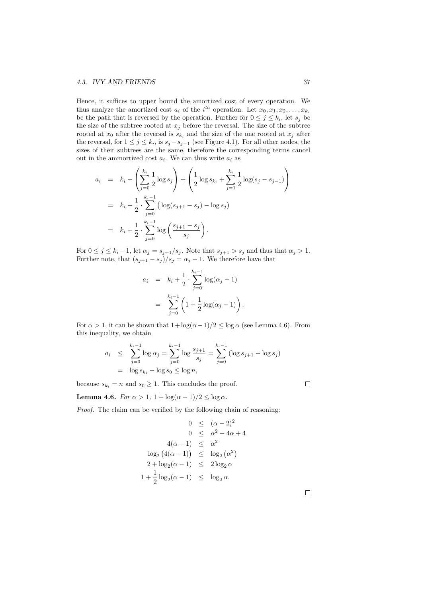#### *4.3. IVY AND FRIENDS* 37

Hence, it suffices to upper bound the amortized cost of every operation. We thus analyze the amortized cost  $a_i$  of the  $i^{th}$  operation. Let  $x_0, x_1, x_2, \ldots, x_{k_i}$ be the path that is reversed by the operation. Further for  $0 \leq j \leq k_i$ , let  $s_j$  be the size of the subtree rooted at  $x_j$  before the reversal. The size of the subtree rooted at  $x_0$  after the reversal is  $s_{k_i}$  and the size of the one rooted at  $x_j$  after the reversal, for  $1 \leq j \leq k_i$ , is  $s_j - s_{j-1}$  (see Figure 4.1). For all other nodes, the sizes of their subtrees are the same, therefore the corresponding terms cancel out in the ammortized cost  $a_i$ . We can thus write  $a_i$  as

$$
a_i = k_i - \left(\sum_{j=0}^{k_i} \frac{1}{2} \log s_j\right) + \left(\frac{1}{2} \log s_{k_i} + \sum_{j=1}^{k_i} \frac{1}{2} \log(s_j - s_{j-1})\right)
$$
  
=  $k_i + \frac{1}{2} \cdot \sum_{j=0}^{k_i-1} \left(\log(s_{j+1} - s_j) - \log s_j\right)$   
=  $k_i + \frac{1}{2} \cdot \sum_{j=0}^{k_i-1} \log \left(\frac{s_{j+1} - s_j}{s_j}\right).$ 

For  $0 \leq j \leq k_i - 1$ , let  $\alpha_j = s_{j+1}/s_j$ . Note that  $s_{j+1} > s_j$  and thus that  $\alpha_j > 1$ . Further note, that  $(s_{j+1} - s_j)/s_j = \alpha_j - 1$ . We therefore have that

$$
a_i = k_i + \frac{1}{2} \cdot \sum_{j=0}^{k_i - 1} \log(\alpha_j - 1)
$$
  
= 
$$
\sum_{j=0}^{k_i - 1} \left( 1 + \frac{1}{2} \log(\alpha_j - 1) \right).
$$

For  $\alpha > 1$ , it can be shown that  $1 + \log(\alpha - 1)/2 \le \log \alpha$  (see Lemma 4.6). From this inequality, we obtain

$$
a_i \leq \sum_{j=0}^{k_i-1} \log \alpha_j = \sum_{j=0}^{k_i-1} \log \frac{s_{j+1}}{s_j} = \sum_{j=0}^{k_i-1} (\log s_{j+1} - \log s_j)
$$
  
=  $\log s_{k_i} - \log s_0 \leq \log n$ ,

because  $s_{k_i} = n$  and  $s_0 \geq 1$ . This concludes the proof.

**Lemma 4.6.** *For*  $\alpha > 1$ ,  $1 + \log((\alpha - 1)/2) \le \log \alpha$ .

*Proof.* The claim can be verified by the following chain of reasoning:

$$
0 \leq (\alpha - 2)^2
$$
  
\n
$$
0 \leq \alpha^2 - 4\alpha + 4
$$
  
\n
$$
4(\alpha - 1) \leq \alpha^2
$$
  
\n
$$
\log_2 (4(\alpha - 1)) \leq \log_2 (\alpha^2)
$$
  
\n
$$
2 + \log_2(\alpha - 1) \leq 2 \log_2 \alpha
$$
  
\n
$$
1 + \frac{1}{2} \log_2(\alpha - 1) \leq \log_2 \alpha.
$$

 $\Box$ 

 $\Box$